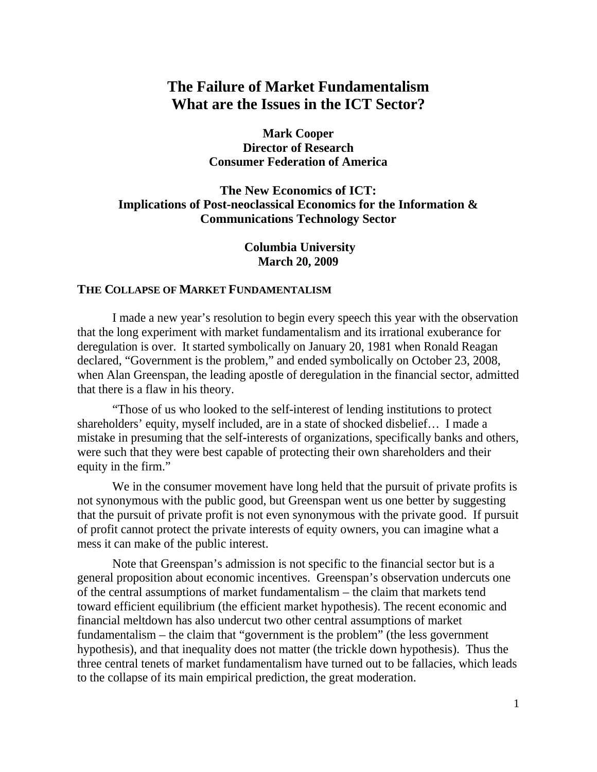# **The Failure of Market Fundamentalism What are the Issues in the ICT Sector?**

**Mark Cooper Director of Research Consumer Federation of America**

## **The New Economics of ICT: Implications of Post-neoclassical Economics for the Information & Communications Technology Sector**

 **Columbia University March 20, 2009**

## **THE COLLAPSE OF MARKET FUNDAMENTALISM**

I made a new year's resolution to begin every speech this year with the observation that the long experiment with market fundamentalism and its irrational exuberance for deregulation is over. It started symbolically on January 20, 1981 when Ronald Reagan declared, "Government is the problem," and ended symbolically on October 23, 2008, when Alan Greenspan, the leading apostle of deregulation in the financial sector, admitted that there is a flaw in his theory.

"Those of us who looked to the self-interest of lending institutions to protect shareholders' equity, myself included, are in a state of shocked disbelief… I made a mistake in presuming that the self-interests of organizations, specifically banks and others, were such that they were best capable of protecting their own shareholders and their equity in the firm."

We in the consumer movement have long held that the pursuit of private profits is not synonymous with the public good, but Greenspan went us one better by suggesting that the pursuit of private profit is not even synonymous with the private good. If pursuit of profit cannot protect the private interests of equity owners, you can imagine what a mess it can make of the public interest.

Note that Greenspan's admission is not specific to the financial sector but is a general proposition about economic incentives. Greenspan's observation undercuts one of the central assumptions of market fundamentalism – the claim that markets tend toward efficient equilibrium (the efficient market hypothesis). The recent economic and financial meltdown has also undercut two other central assumptions of market fundamentalism – the claim that "government is the problem" (the less government hypothesis), and that inequality does not matter (the trickle down hypothesis). Thus the three central tenets of market fundamentalism have turned out to be fallacies, which leads to the collapse of its main empirical prediction, the great moderation.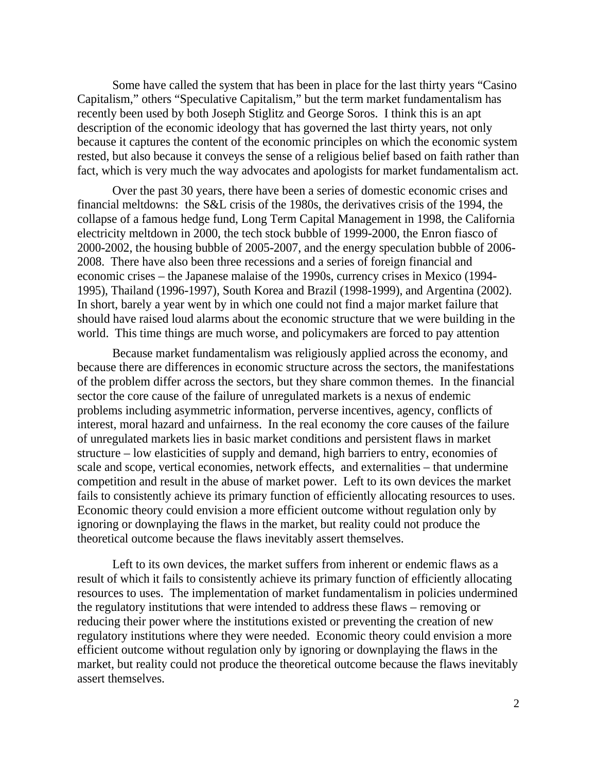Some have called the system that has been in place for the last thirty years "Casino Capitalism," others "Speculative Capitalism," but the term market fundamentalism has recently been used by both Joseph Stiglitz and George Soros. I think this is an apt description of the economic ideology that has governed the last thirty years, not only because it captures the content of the economic principles on which the economic system rested, but also because it conveys the sense of a religious belief based on faith rather than fact, which is very much the way advocates and apologists for market fundamentalism act.

Over the past 30 years, there have been a series of domestic economic crises and financial meltdowns: the S&L crisis of the 1980s, the derivatives crisis of the 1994, the collapse of a famous hedge fund, Long Term Capital Management in 1998, the California electricity meltdown in 2000, the tech stock bubble of 1999-2000, the Enron fiasco of 2000-2002, the housing bubble of 2005-2007, and the energy speculation bubble of 2006- 2008. There have also been three recessions and a series of foreign financial and economic crises – the Japanese malaise of the 1990s, currency crises in Mexico (1994- 1995), Thailand (1996-1997), South Korea and Brazil (1998-1999), and Argentina (2002). In short, barely a year went by in which one could not find a major market failure that should have raised loud alarms about the economic structure that we were building in the world. This time things are much worse, and policymakers are forced to pay attention

Because market fundamentalism was religiously applied across the economy, and because there are differences in economic structure across the sectors, the manifestations of the problem differ across the sectors, but they share common themes. In the financial sector the core cause of the failure of unregulated markets is a nexus of endemic problems including asymmetric information, perverse incentives, agency, conflicts of interest, moral hazard and unfairness. In the real economy the core causes of the failure of unregulated markets lies in basic market conditions and persistent flaws in market structure – low elasticities of supply and demand, high barriers to entry, economies of scale and scope, vertical economies, network effects, and externalities – that undermine competition and result in the abuse of market power. Left to its own devices the market fails to consistently achieve its primary function of efficiently allocating resources to uses. Economic theory could envision a more efficient outcome without regulation only by ignoring or downplaying the flaws in the market, but reality could not produce the theoretical outcome because the flaws inevitably assert themselves.

Left to its own devices, the market suffers from inherent or endemic flaws as a result of which it fails to consistently achieve its primary function of efficiently allocating resources to uses. The implementation of market fundamentalism in policies undermined the regulatory institutions that were intended to address these flaws – removing or reducing their power where the institutions existed or preventing the creation of new regulatory institutions where they were needed. Economic theory could envision a more efficient outcome without regulation only by ignoring or downplaying the flaws in the market, but reality could not produce the theoretical outcome because the flaws inevitably assert themselves.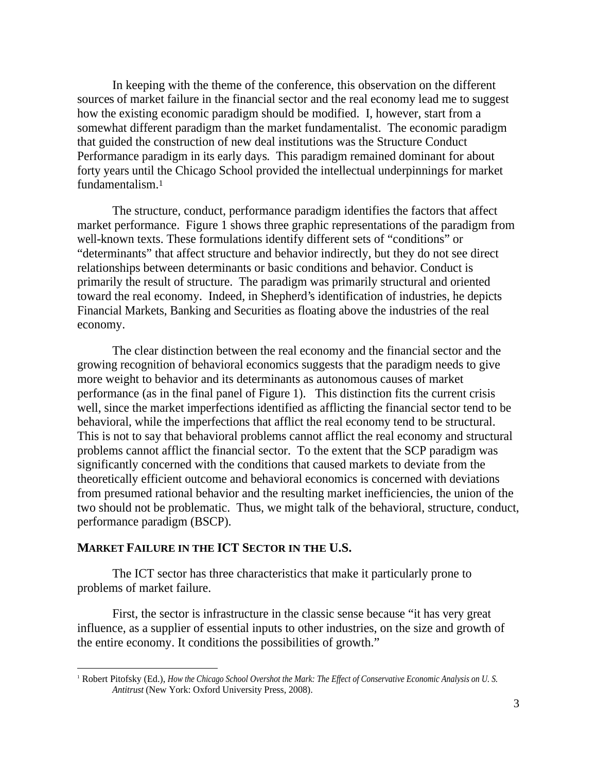In keeping with the theme of the conference, this observation on the different sources of market failure in the financial sector and the real economy lead me to suggest how the existing economic paradigm should be modified. I, however, start from a somewhat different paradigm than the market fundamentalist. The economic paradigm that guided the construction of new deal institutions was the Structure Conduct Performance paradigm in its early days. This paradigm remained dominant for about forty years until the Chicago School provided the intellectual underpinnings for market fundamentalism.1

The structure, conduct, performance paradigm identifies the factors that affect market performance. Figure 1 shows three graphic representations of the paradigm from well-known texts. These formulations identify different sets of "conditions" or "determinants" that affect structure and behavior indirectly, but they do not see direct relationships between determinants or basic conditions and behavior. Conduct is primarily the result of structure. The paradigm was primarily structural and oriented toward the real economy. Indeed, in Shepherd's identification of industries, he depicts Financial Markets, Banking and Securities as floating above the industries of the real economy.

The clear distinction between the real economy and the financial sector and the growing recognition of behavioral economics suggests that the paradigm needs to give more weight to behavior and its determinants as autonomous causes of market performance (as in the final panel of Figure 1). This distinction fits the current crisis well, since the market imperfections identified as afflicting the financial sector tend to be behavioral, while the imperfections that afflict the real economy tend to be structural. This is not to say that behavioral problems cannot afflict the real economy and structural problems cannot afflict the financial sector. To the extent that the SCP paradigm was significantly concerned with the conditions that caused markets to deviate from the theoretically efficient outcome and behavioral economics is concerned with deviations from presumed rational behavior and the resulting market inefficiencies, the union of the two should not be problematic. Thus, we might talk of the behavioral, structure, conduct, performance paradigm (BSCP).

## **MARKET FAILURE IN THE ICT SECTOR IN THE U.S.**

The ICT sector has three characteristics that make it particularly prone to problems of market failure.

First, the sector is infrastructure in the classic sense because "it has very great influence, as a supplier of essential inputs to other industries, on the size and growth of the entire economy. It conditions the possibilities of growth."

 <sup>1</sup> Robert Pitofsky (Ed.), *How the Chicago School Overshot the Mark: The Effect of Conservative Economic Analysis on U. S. Antitrust* (New York: Oxford University Press, 2008).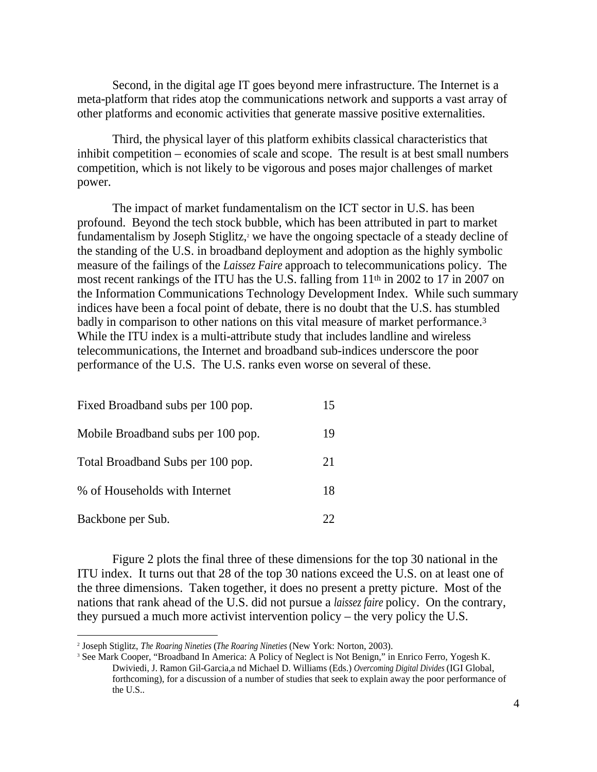Second, in the digital age IT goes beyond mere infrastructure. The Internet is a meta-platform that rides atop the communications network and supports a vast array of other platforms and economic activities that generate massive positive externalities.

Third, the physical layer of this platform exhibits classical characteristics that inhibit competition – economies of scale and scope. The result is at best small numbers competition, which is not likely to be vigorous and poses major challenges of market power.

The impact of market fundamentalism on the ICT sector in U.S. has been profound. Beyond the tech stock bubble, which has been attributed in part to market fundamentalism by Joseph Stiglitz,<sup>2</sup> we have the ongoing spectacle of a steady decline of the standing of the U.S. in broadband deployment and adoption as the highly symbolic measure of the failings of the *Laissez Faire* approach to telecommunications policy. The most recent rankings of the ITU has the U.S. falling from 11th in 2002 to 17 in 2007 on the Information Communications Technology Development Index. While such summary indices have been a focal point of debate, there is no doubt that the U.S. has stumbled badly in comparison to other nations on this vital measure of market performance.3 While the ITU index is a multi-attribute study that includes landline and wireless telecommunications, the Internet and broadband sub-indices underscore the poor performance of the U.S. The U.S. ranks even worse on several of these.

| Fixed Broadband subs per 100 pop.  | ⊥ັ  |  |
|------------------------------------|-----|--|
| Mobile Broadband subs per 100 pop. | 19- |  |
| Total Broadband Subs per 100 pop.  | 21  |  |
| % of Households with Internet      |     |  |
| Backbone per Sub.                  | ∸   |  |

Figure 2 plots the final three of these dimensions for the top 30 national in the ITU index. It turns out that 28 of the top 30 nations exceed the U.S. on at least one of the three dimensions. Taken together, it does no present a pretty picture. Most of the nations that rank ahead of the U.S. did not pursue a *laissez faire* policy. On the contrary, they pursued a much more activist intervention policy – the very policy the U.S.

 <sup>2</sup> Joseph Stiglitz, *The Roaring Nineties* (*The Roaring Nineties* (New York: Norton, 2003).

<sup>3</sup> See Mark Cooper, "Broadband In America: A Policy of Neglect is Not Benign," in Enrico Ferro, Yogesh K. Dwiviedi, J. Ramon Gil-Garcia,a nd Michael D. Williams (Eds.) *Overcoming Digital Divides* (IGI Global, forthcoming), for a discussion of a number of studies that seek to explain away the poor performance of the U.S..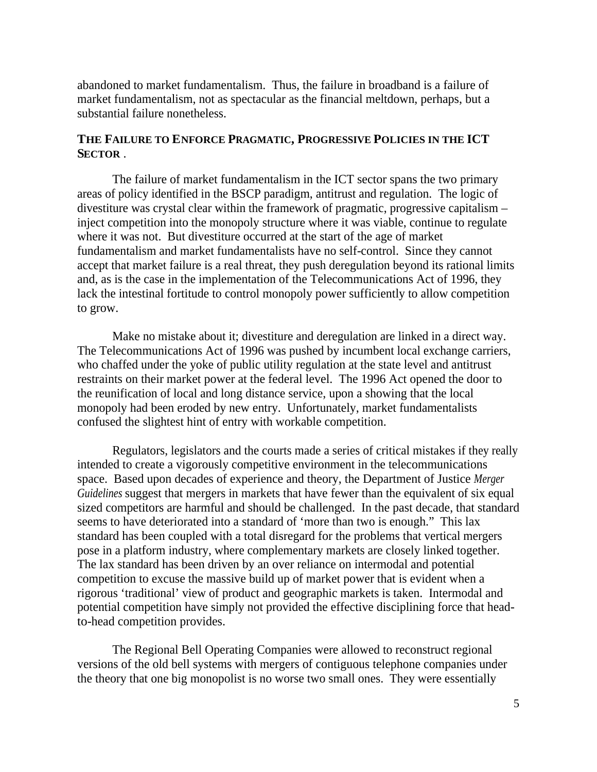abandoned to market fundamentalism. Thus, the failure in broadband is a failure of market fundamentalism, not as spectacular as the financial meltdown, perhaps, but a substantial failure nonetheless.

# **THE FAILURE TO ENFORCE PRAGMATIC, PROGRESSIVE POLICIES IN THE ICT SECTOR** .<br>The failure of market fundamentalism in the ICT sector spans the two primary

areas of policy identified in the BSCP paradigm, antitrust and regulation. The logic of divestiture was crystal clear within the framework of pragmatic, progressive capitalism – inject competition into the monopoly structure where it was viable, continue to regulate where it was not. But divestiture occurred at the start of the age of market fundamentalism and market fundamentalists have no self-control. Since they cannot accept that market failure is a real threat, they push deregulation beyond its rational limits and, as is the case in the implementation of the Telecommunications Act of 1996, they lack the intestinal fortitude to control monopoly power sufficiently to allow competition to grow.

Make no mistake about it; divestiture and deregulation are linked in a direct way. The Telecommunications Act of 1996 was pushed by incumbent local exchange carriers, who chaffed under the yoke of public utility regulation at the state level and antitrust restraints on their market power at the federal level. The 1996 Act opened the door to the reunification of local and long distance service, upon a showing that the local monopoly had been eroded by new entry. Unfortunately, market fundamentalists confused the slightest hint of entry with workable competition.

Regulators, legislators and the courts made a series of critical mistakes if they really intended to create a vigorously competitive environment in the telecommunications space. Based upon decades of experience and theory, the Department of Justice *Merger Guidelines* suggest that mergers in markets that have fewer than the equivalent of six equal sized competitors are harmful and should be challenged. In the past decade, that standard seems to have deteriorated into a standard of 'more than two is enough." This lax standard has been coupled with a total disregard for the problems that vertical mergers pose in a platform industry, where complementary markets are closely linked together. The lax standard has been driven by an over reliance on intermodal and potential competition to excuse the massive build up of market power that is evident when a rigorous 'traditional' view of product and geographic markets is taken. Intermodal and potential competition have simply not provided the effective disciplining force that headto-head competition provides.

The Regional Bell Operating Companies were allowed to reconstruct regional versions of the old bell systems with mergers of contiguous telephone companies under the theory that one big monopolist is no worse two small ones. They were essentially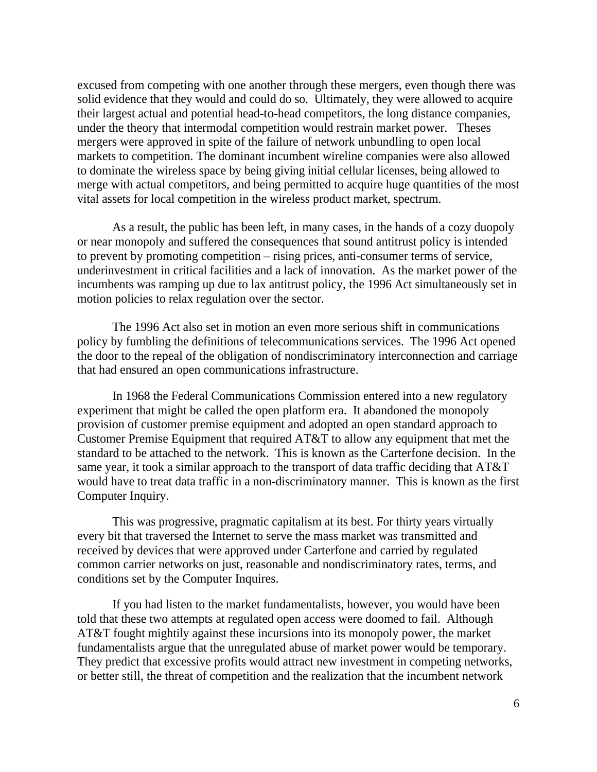excused from competing with one another through these mergers, even though there was solid evidence that they would and could do so. Ultimately, they were allowed to acquire their largest actual and potential head-to-head competitors, the long distance companies, under the theory that intermodal competition would restrain market power. Theses mergers were approved in spite of the failure of network unbundling to open local markets to competition. The dominant incumbent wireline companies were also allowed to dominate the wireless space by being giving initial cellular licenses, being allowed to merge with actual competitors, and being permitted to acquire huge quantities of the most vital assets for local competition in the wireless product market, spectrum.

As a result, the public has been left, in many cases, in the hands of a cozy duopoly or near monopoly and suffered the consequences that sound antitrust policy is intended to prevent by promoting competition – rising prices, anti-consumer terms of service, underinvestment in critical facilities and a lack of innovation. As the market power of the incumbents was ramping up due to lax antitrust policy, the 1996 Act simultaneously set in motion policies to relax regulation over the sector.

The 1996 Act also set in motion an even more serious shift in communications policy by fumbling the definitions of telecommunications services. The 1996 Act opened the door to the repeal of the obligation of nondiscriminatory interconnection and carriage that had ensured an open communications infrastructure.

In 1968 the Federal Communications Commission entered into a new regulatory experiment that might be called the open platform era. It abandoned the monopoly provision of customer premise equipment and adopted an open standard approach to Customer Premise Equipment that required AT&T to allow any equipment that met the standard to be attached to the network. This is known as the Carterfone decision. In the same year, it took a similar approach to the transport of data traffic deciding that AT&T would have to treat data traffic in a non-discriminatory manner. This is known as the first Computer Inquiry.

This was progressive, pragmatic capitalism at its best. For thirty years virtually every bit that traversed the Internet to serve the mass market was transmitted and received by devices that were approved under Carterfone and carried by regulated common carrier networks on just, reasonable and nondiscriminatory rates, terms, and conditions set by the Computer Inquires.

If you had listen to the market fundamentalists, however, you would have been told that these two attempts at regulated open access were doomed to fail. Although AT&T fought mightily against these incursions into its monopoly power, the market fundamentalists argue that the unregulated abuse of market power would be temporary. They predict that excessive profits would attract new investment in competing networks, or better still, the threat of competition and the realization that the incumbent network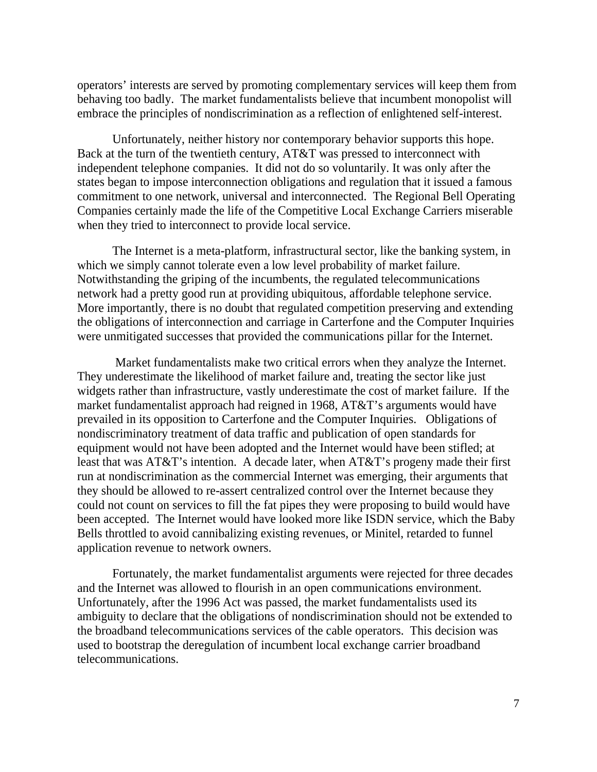operators' interests are served by promoting complementary services will keep them from behaving too badly. The market fundamentalists believe that incumbent monopolist will embrace the principles of nondiscrimination as a reflection of enlightened self-interest.

Unfortunately, neither history nor contemporary behavior supports this hope. Back at the turn of the twentieth century, AT&T was pressed to interconnect with independent telephone companies. It did not do so voluntarily. It was only after the states began to impose interconnection obligations and regulation that it issued a famous commitment to one network, universal and interconnected. The Regional Bell Operating Companies certainly made the life of the Competitive Local Exchange Carriers miserable when they tried to interconnect to provide local service.

The Internet is a meta-platform, infrastructural sector, like the banking system, in which we simply cannot tolerate even a low level probability of market failure. Notwithstanding the griping of the incumbents, the regulated telecommunications network had a pretty good run at providing ubiquitous, affordable telephone service. More importantly, there is no doubt that regulated competition preserving and extending the obligations of interconnection and carriage in Carterfone and the Computer Inquiries were unmitigated successes that provided the communications pillar for the Internet.

 Market fundamentalists make two critical errors when they analyze the Internet. They underestimate the likelihood of market failure and, treating the sector like just widgets rather than infrastructure, vastly underestimate the cost of market failure. If the market fundamentalist approach had reigned in 1968, AT&T's arguments would have prevailed in its opposition to Carterfone and the Computer Inquiries. Obligations of nondiscriminatory treatment of data traffic and publication of open standards for equipment would not have been adopted and the Internet would have been stifled; at least that was AT&T's intention. A decade later, when AT&T's progeny made their first run at nondiscrimination as the commercial Internet was emerging, their arguments that they should be allowed to re-assert centralized control over the Internet because they could not count on services to fill the fat pipes they were proposing to build would have been accepted. The Internet would have looked more like ISDN service, which the Baby Bells throttled to avoid cannibalizing existing revenues, or Minitel, retarded to funnel application revenue to network owners.

Fortunately, the market fundamentalist arguments were rejected for three decades and the Internet was allowed to flourish in an open communications environment. Unfortunately, after the 1996 Act was passed, the market fundamentalists used its ambiguity to declare that the obligations of nondiscrimination should not be extended to the broadband telecommunications services of the cable operators. This decision was used to bootstrap the deregulation of incumbent local exchange carrier broadband telecommunications.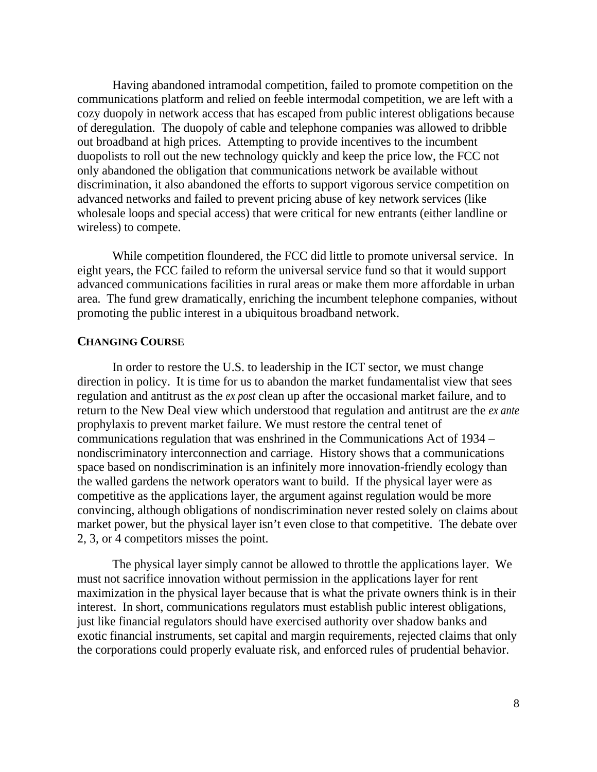Having abandoned intramodal competition, failed to promote competition on the communications platform and relied on feeble intermodal competition, we are left with a cozy duopoly in network access that has escaped from public interest obligations because of deregulation. The duopoly of cable and telephone companies was allowed to dribble out broadband at high prices. Attempting to provide incentives to the incumbent duopolists to roll out the new technology quickly and keep the price low, the FCC not only abandoned the obligation that communications network be available without discrimination, it also abandoned the efforts to support vigorous service competition on advanced networks and failed to prevent pricing abuse of key network services (like wholesale loops and special access) that were critical for new entrants (either landline or wireless) to compete.

While competition floundered, the FCC did little to promote universal service. In eight years, the FCC failed to reform the universal service fund so that it would support advanced communications facilities in rural areas or make them more affordable in urban area. The fund grew dramatically, enriching the incumbent telephone companies, without promoting the public interest in a ubiquitous broadband network.

**CHANGING COURSE**<br>In order to restore the U.S. to leadership in the ICT sector, we must change direction in policy. It is time for us to abandon the market fundamentalist view that sees regulation and antitrust as the *ex post* clean up after the occasional market failure, and to return to the New Deal view which understood that regulation and antitrust are the *ex ante* prophylaxis to prevent market failure. We must restore the central tenet of communications regulation that was enshrined in the Communications Act of 1934 – nondiscriminatory interconnection and carriage. History shows that a communications space based on nondiscrimination is an infinitely more innovation-friendly ecology than the walled gardens the network operators want to build. If the physical layer were as competitive as the applications layer, the argument against regulation would be more convincing, although obligations of nondiscrimination never rested solely on claims about market power, but the physical layer isn't even close to that competitive. The debate over 2, 3, or 4 competitors misses the point.

The physical layer simply cannot be allowed to throttle the applications layer. We must not sacrifice innovation without permission in the applications layer for rent maximization in the physical layer because that is what the private owners think is in their interest. In short, communications regulators must establish public interest obligations, just like financial regulators should have exercised authority over shadow banks and exotic financial instruments, set capital and margin requirements, rejected claims that only the corporations could properly evaluate risk, and enforced rules of prudential behavior.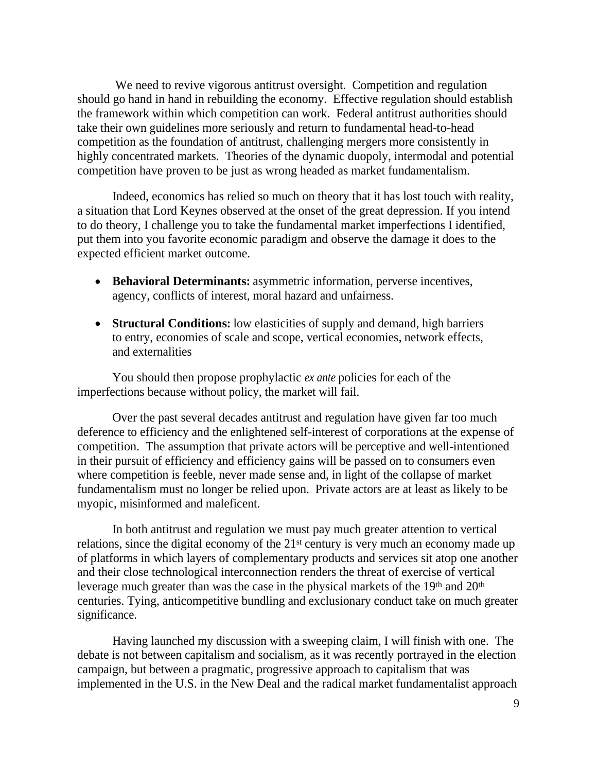We need to revive vigorous antitrust oversight. Competition and regulation should go hand in hand in rebuilding the economy. Effective regulation should establish the framework within which competition can work. Federal antitrust authorities should take their own guidelines more seriously and return to fundamental head-to-head competition as the foundation of antitrust, challenging mergers more consistently in highly concentrated markets. Theories of the dynamic duopoly, intermodal and potential competition have proven to be just as wrong headed as market fundamentalism.

Indeed, economics has relied so much on theory that it has lost touch with reality, a situation that Lord Keynes observed at the onset of the great depression. If you intend to do theory, I challenge you to take the fundamental market imperfections I identified, put them into you favorite economic paradigm and observe the damage it does to the expected efficient market outcome.

- **Behavioral Determinants:** asymmetric information, perverse incentives, agency, conflicts of interest, moral hazard and unfairness.
- **Structural Conditions:** low elasticities of supply and demand, high barriers to entry, economies of scale and scope, vertical economies, network effects, and externalities

You should then propose prophylactic *ex ante* policies for each of the imperfections because without policy, the market will fail.

Over the past several decades antitrust and regulation have given far too much deference to efficiency and the enlightened self-interest of corporations at the expense of competition. The assumption that private actors will be perceptive and well-intentioned in their pursuit of efficiency and efficiency gains will be passed on to consumers even where competition is feeble, never made sense and, in light of the collapse of market fundamentalism must no longer be relied upon. Private actors are at least as likely to be myopic, misinformed and maleficent.

In both antitrust and regulation we must pay much greater attention to vertical relations, since the digital economy of the 21<sup>st</sup> century is very much an economy made up of platforms in which layers of complementary products and services sit atop one another and their close technological interconnection renders the threat of exercise of vertical leverage much greater than was the case in the physical markets of the 19<sup>th</sup> and 20<sup>th</sup> centuries. Tying, anticompetitive bundling and exclusionary conduct take on much greater significance.

Having launched my discussion with a sweeping claim, I will finish with one. The debate is not between capitalism and socialism, as it was recently portrayed in the election campaign, but between a pragmatic, progressive approach to capitalism that was implemented in the U.S. in the New Deal and the radical market fundamentalist approach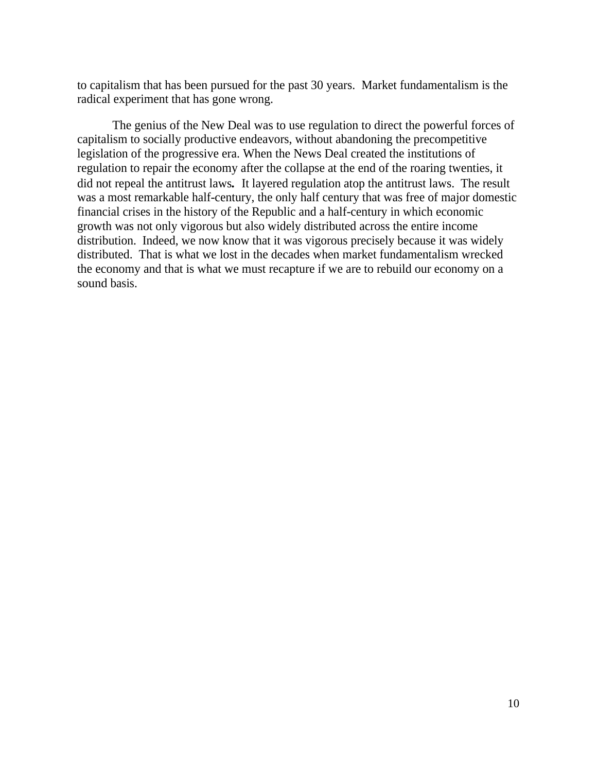to capitalism that has been pursued for the past 30 years. Market fundamentalism is the radical experiment that has gone wrong.

The genius of the New Deal was to use regulation to direct the powerful forces of capitalism to socially productive endeavors, without abandoning the precompetitive legislation of the progressive era. When the News Deal created the institutions of regulation to repair the economy after the collapse at the end of the roaring twenties, it did not repeal the antitrust laws*.* It layered regulation atop the antitrust laws. The result was a most remarkable half-century, the only half century that was free of major domestic financial crises in the history of the Republic and a half-century in which economic growth was not only vigorous but also widely distributed across the entire income distribution. Indeed, we now know that it was vigorous precisely because it was widely distributed. That is what we lost in the decades when market fundamentalism wrecked the economy and that is what we must recapture if we are to rebuild our economy on a sound basis.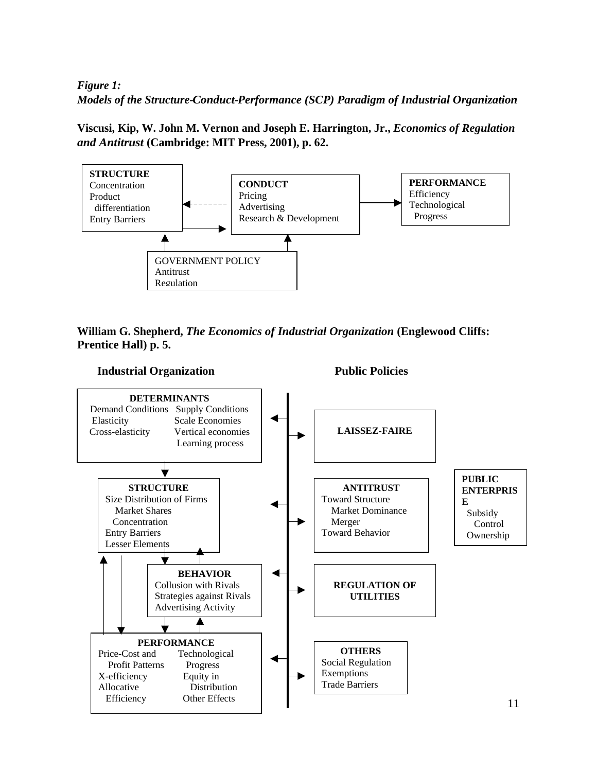## *Figure 1: Models of the Structure-Conduct-Performance (SCP) Paradigm of Industrial Organization*

**Viscusi, Kip, W. John M. Vernon and Joseph E. Harrington, Jr.,** *Economics of Regulation and Antitrust* **(Cambridge: MIT Press, 2001), p. 62.**



**William G. Shepherd,** *The Economics of Industrial Organization* **(Englewood Cliffs: Prentice Hall) p. 5.**

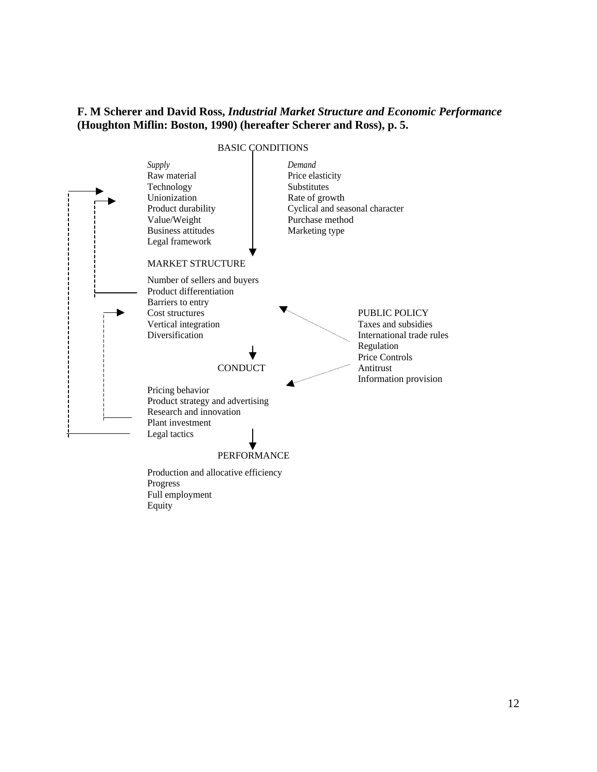## **F. M Scherer and David Ross,** *Industrial Market Structure and Economic Performance*  **(Houghton Miflin: Boston, 1990) (hereafter Scherer and Ross), p. 5.**

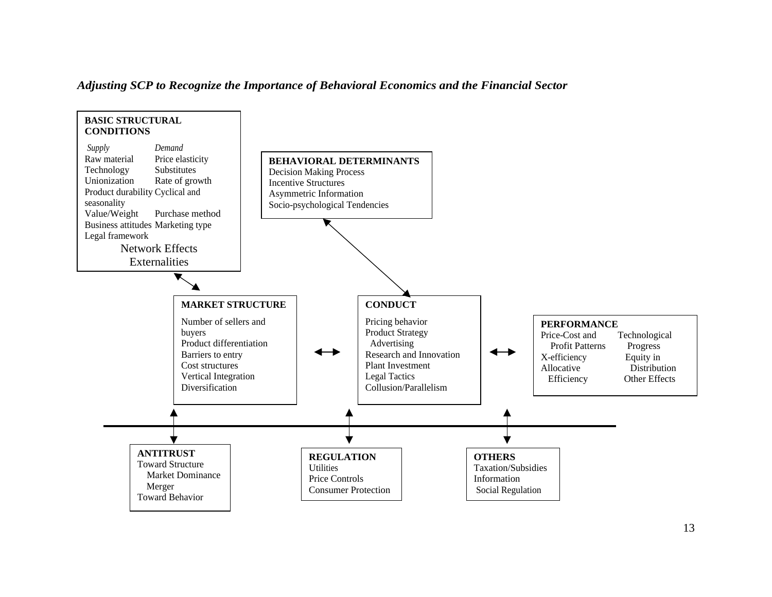

### *Adjusting SCP to Recognize the Importance of Behavioral Economics and the Financial Sector*